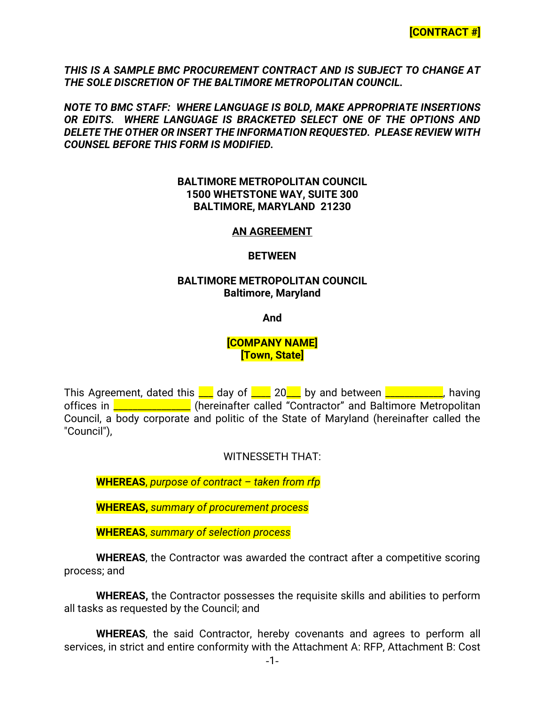*THIS IS A SAMPLE BMC PROCUREMENT CONTRACT AND IS SUBJECT TO CHANGE AT THE SOLE DISCRETION OF THE BALTIMORE METROPOLITAN COUNCIL.*

*NOTE TO BMC STAFF: WHERE LANGUAGE IS BOLD, MAKE APPROPRIATE INSERTIONS OR EDITS. WHERE LANGUAGE IS BRACKETED SELECT ONE OF THE OPTIONS AND DELETE THE OTHER OR INSERT THE INFORMATION REQUESTED. PLEASE REVIEW WITH COUNSEL BEFORE THIS FORM IS MODIFIED.*

#### **BALTIMORE METROPOLITAN COUNCIL 1500 WHETSTONE WAY, SUITE 300 BALTIMORE, MARYLAND 21230**

#### **AN AGREEMENT**

#### **BETWEEN**

#### **BALTIMORE METROPOLITAN COUNCIL Baltimore, Maryland**

**And**

### **[COMPANY NAME] [Town, State]**

This Agreement, dated this  $\Box$  day of  $\Box$  20  $\Box$  by and between  $\Box$   $\Box$   $\Box$  having offices in **\_\_\_\_\_\_\_\_\_\_\_\_\_** (hereinafter called "Contractor" and Baltimore Metropolitan Council, a body corporate and politic of the State of Maryland (hereinafter called the "Council"),

WITNESSETH THAT:

**WHEREAS**, *purpose of contract – taken from rfp*

**WHEREAS,** *summary of procurement process*

**WHEREAS**, *summary of selection process*

**WHEREAS**, the Contractor was awarded the contract after a competitive scoring process; and

**WHEREAS,** the Contractor possesses the requisite skills and abilities to perform all tasks as requested by the Council; and

**WHEREAS**, the said Contractor, hereby covenants and agrees to perform all services, in strict and entire conformity with the Attachment A: RFP, Attachment B: Cost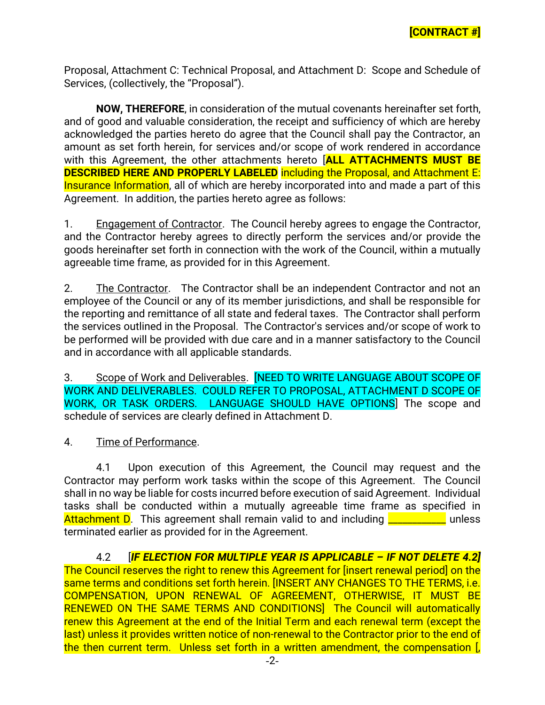Proposal, Attachment C: Technical Proposal, and Attachment D: Scope and Schedule of Services, (collectively, the "Proposal").

**NOW, THEREFORE**, in consideration of the mutual covenants hereinafter set forth, and of good and valuable consideration, the receipt and sufficiency of which are hereby acknowledged the parties hereto do agree that the Council shall pay the Contractor, an amount as set forth herein, for services and/or scope of work rendered in accordance with this Agreement, the other attachments hereto [**ALL ATTACHMENTS MUST BE DESCRIBED HERE AND PROPERLY LABELED** including the Proposal, and Attachment E: Insurance Information, all of which are hereby incorporated into and made a part of this Agreement. In addition, the parties hereto agree as follows:

1. Engagement of Contractor.The Council hereby agrees to engage the Contractor, and the Contractor hereby agrees to directly perform the services and/or provide the goods hereinafter set forth in connection with the work of the Council, within a mutually agreeable time frame, as provided for in this Agreement.

2. The Contractor. The Contractor shall be an independent Contractor and not an employee of the Council or any of its member jurisdictions, and shall be responsible for the reporting and remittance of all state and federal taxes. The Contractor shall perform the services outlined in the Proposal. The Contractor's services and/or scope of work to be performed will be provided with due care and in a manner satisfactory to the Council and in accordance with all applicable standards.

3. Scope of Work and Deliverables. [NEED TO WRITE LANGUAGE ABOUT SCOPE OF WORK AND DELIVERABLES. COULD REFER TO PROPOSAL, ATTACHMENT D SCOPE OF WORK, OR TASK ORDERS. LANGUAGE SHOULD HAVE OPTIONS] The scope and schedule of services are clearly defined in Attachment D.

4. Time of Performance.

4.1 Upon execution of this Agreement, the Council may request and the Contractor may perform work tasks within the scope of this Agreement. The Council shall in no way be liable for costs incurred before execution of said Agreement. Individual tasks shall be conducted within a mutually agreeable time frame as specified in Attachment D. This agreement shall remain valid to and including **\_\_\_\_\_\_\_\_\_** unless terminated earlier as provided for in the Agreement.

4.2 [*IF ELECTION FOR MULTIPLE YEAR IS APPLICABLE – IF NOT DELETE 4.2]* The Council reserves the right to renew this Agreement for [insert renewal period] on the same terms and conditions set forth herein. [INSERT ANY CHANGES TO THE TERMS, i.e. COMPENSATION, UPON RENEWAL OF AGREEMENT, OTHERWISE, IT MUST BE RENEWED ON THE SAME TERMS AND CONDITIONS] The Council will automatically renew this Agreement at the end of the Initial Term and each renewal term (except the last) unless it provides written notice of non-renewal to the Contractor prior to the end of the then current term. Unless set forth in a written amendment, the compensation [,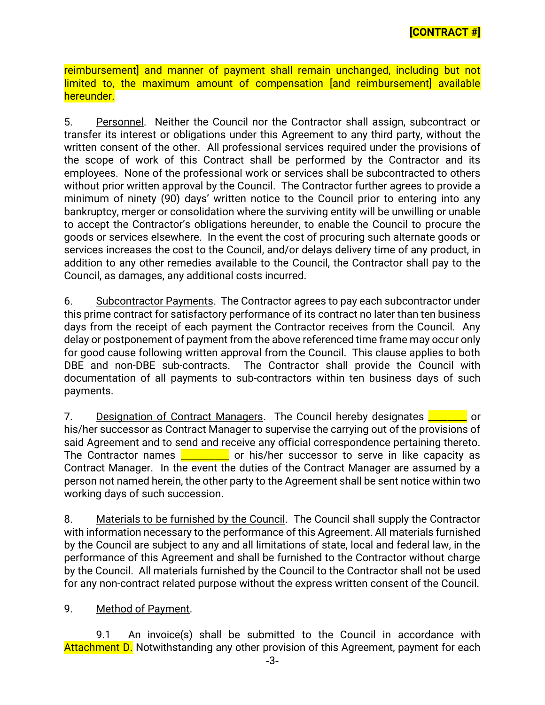reimbursement] and manner of payment shall remain unchanged, including but not limited to, the maximum amount of compensation [and reimbursement] available hereunder.

5. Personnel. Neither the Council nor the Contractor shall assign, subcontract or transfer its interest or obligations under this Agreement to any third party, without the written consent of the other. All professional services required under the provisions of the scope of work of this Contract shall be performed by the Contractor and its employees. None of the professional work or services shall be subcontracted to others without prior written approval by the Council. The Contractor further agrees to provide a minimum of ninety (90) days' written notice to the Council prior to entering into any bankruptcy, merger or consolidation where the surviving entity will be unwilling or unable to accept the Contractor's obligations hereunder, to enable the Council to procure the goods or services elsewhere. In the event the cost of procuring such alternate goods or services increases the cost to the Council, and/or delays delivery time of any product, in addition to any other remedies available to the Council, the Contractor shall pay to the Council, as damages, any additional costs incurred.

6. Subcontractor Payments. The Contractor agrees to pay each subcontractor under this prime contract for satisfactory performance of its contract no later than ten business days from the receipt of each payment the Contractor receives from the Council. Any delay or postponement of payment from the above referenced time frame may occur only for good cause following written approval from the Council. This clause applies to both DBE and non-DBE sub-contracts. The Contractor shall provide the Council with documentation of all payments to sub-contractors within ten business days of such payments.

7. Designation of Contract Managers. The Council hereby designates **Definition** or his/her successor as Contract Manager to supervise the carrying out of the provisions of said Agreement and to send and receive any official correspondence pertaining thereto. The Contractor names  $\frac{2}{\sqrt{2}}$  or his/her successor to serve in like capacity as Contract Manager. In the event the duties of the Contract Manager are assumed by a person not named herein, the other party to the Agreement shall be sent notice within two working days of such succession.

8. Materials to be furnished by the Council. The Council shall supply the Contractor with information necessary to the performance of this Agreement. All materials furnished by the Council are subject to any and all limitations of state, local and federal law, in the performance of this Agreement and shall be furnished to the Contractor without charge by the Council. All materials furnished by the Council to the Contractor shall not be used for any non-contract related purpose without the express written consent of the Council.

## 9. Method of Payment.

9.1 An invoice(s) shall be submitted to the Council in accordance with Attachment D. Notwithstanding any other provision of this Agreement, payment for each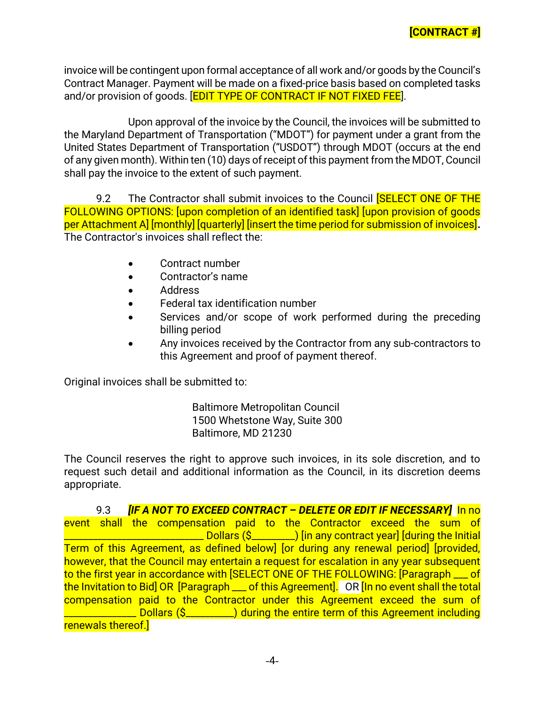invoice will be contingent upon formal acceptance of all work and/or goods by the Council's Contract Manager. Payment will be made on a fixed-price basis based on completed tasks and/or provision of goods. **[EDIT TYPE OF CONTRACT IF NOT FIXED FEE**].

Upon approval of the invoice by the Council, the invoices will be submitted to the Maryland Department of Transportation ("MDOT") for payment under a grant from the United States Department of Transportation ("USDOT") through MDOT (occurs at the end of any given month). Within ten (10) days of receipt of this payment from the MDOT, Council shall pay the invoice to the extent of such payment.

9.2 The Contractor shall submit invoices to the Council **SELECT ONE OF THE** FOLLOWING OPTIONS: [upon completion of an identified task] [upon provision of goods per Attachment A] [monthly] [quarterly] [insert the time period for submission of invoices]**.** The Contractor's invoices shall reflect the:

- Contract number
- Contractor's name
- Address
- Federal tax identification number
- Services and/or scope of work performed during the preceding billing period
- Any invoices received by the Contractor from any sub-contractors to this Agreement and proof of payment thereof.

Original invoices shall be submitted to:

Baltimore Metropolitan Council 1500 Whetstone Way, Suite 300 Baltimore, MD 21230

The Council reserves the right to approve such invoices, in its sole discretion, and to request such detail and additional information as the Council, in its discretion deems appropriate.

9.3 *[IF A NOT TO EXCEED CONTRACT – DELETE OR EDIT IF NECESSARY]* In no event shall the compensation paid to the Contractor exceed the sum of **\_\_\_\_\_\_** Dollars (\$\_\_\_\_\_\_\_\_) [in any contract year] [during the Initial Term of this Agreement, as defined below] [or during any renewal period] [provided, however, that the Council may entertain a request for escalation in any year subsequent to the first year in accordance with [SELECT ONE OF THE FOLLOWING: [Paragraph \_\_\_ of the Invitation to Bid] OR [Paragraph \_\_\_ of this Agreement]. OR [In no event shall the total compensation paid to the Contractor under this Agreement exceed the sum of \_\_\_\_\_\_\_\_\_\_\_\_\_\_\_ Dollars (\$\_\_\_\_\_\_\_\_\_\_) during the entire term of this Agreement including renewals thereof.]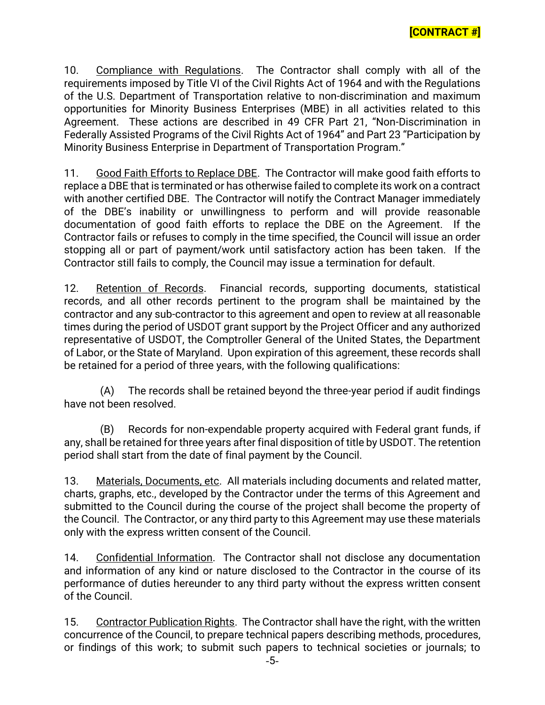10. Compliance with Regulations. The Contractor shall comply with all of the requirements imposed by Title VI of the Civil Rights Act of 1964 and with the Regulations of the U.S. Department of Transportation relative to non-discrimination and maximum opportunities for Minority Business Enterprises (MBE) in all activities related to this Agreement. These actions are described in 49 CFR Part 21, "Non-Discrimination in Federally Assisted Programs of the Civil Rights Act of 1964" and Part 23 "Participation by Minority Business Enterprise in Department of Transportation Program."

11. Good Faith Efforts to Replace DBE. The Contractor will make good faith efforts to replace a DBE that is terminated or has otherwise failed to complete its work on a contract with another certified DBE. The Contractor will notify the Contract Manager immediately of the DBE's inability or unwillingness to perform and will provide reasonable documentation of good faith efforts to replace the DBE on the Agreement. If the Contractor fails or refuses to comply in the time specified, the Council will issue an order stopping all or part of payment/work until satisfactory action has been taken. If the Contractor still fails to comply, the Council may issue a termination for default.

12. Retention of Records. Financial records, supporting documents, statistical records, and all other records pertinent to the program shall be maintained by the contractor and any sub-contractor to this agreement and open to review at all reasonable times during the period of USDOT grant support by the Project Officer and any authorized representative of USDOT, the Comptroller General of the United States, the Department of Labor, or the State of Maryland. Upon expiration of this agreement, these records shall be retained for a period of three years, with the following qualifications:

(A) The records shall be retained beyond the three-year period if audit findings have not been resolved.

(B) Records for non-expendable property acquired with Federal grant funds, if any, shall be retained for three years after final disposition of title by USDOT. The retention period shall start from the date of final payment by the Council.

13. Materials, Documents, etc. All materials including documents and related matter, charts, graphs, etc., developed by the Contractor under the terms of this Agreement and submitted to the Council during the course of the project shall become the property of the Council. The Contractor, or any third party to this Agreement may use these materials only with the express written consent of the Council.

14. Confidential Information. The Contractor shall not disclose any documentation and information of any kind or nature disclosed to the Contractor in the course of its performance of duties hereunder to any third party without the express written consent of the Council.

15. Contractor Publication Rights. The Contractor shall have the right, with the written concurrence of the Council, to prepare technical papers describing methods, procedures, or findings of this work; to submit such papers to technical societies or journals; to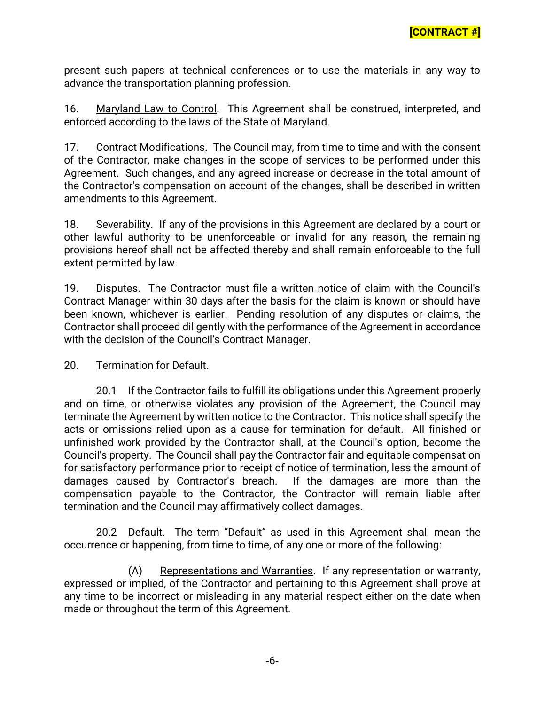present such papers at technical conferences or to use the materials in any way to advance the transportation planning profession.

16. Maryland Law to Control. This Agreement shall be construed, interpreted, and enforced according to the laws of the State of Maryland.

17. Contract Modifications. The Council may, from time to time and with the consent of the Contractor, make changes in the scope of services to be performed under this Agreement. Such changes, and any agreed increase or decrease in the total amount of the Contractor's compensation on account of the changes, shall be described in written amendments to this Agreement.

18. Severability. If any of the provisions in this Agreement are declared by a court or other lawful authority to be unenforceable or invalid for any reason, the remaining provisions hereof shall not be affected thereby and shall remain enforceable to the full extent permitted by law.

19. Disputes. The Contractor must file a written notice of claim with the Council's Contract Manager within 30 days after the basis for the claim is known or should have been known, whichever is earlier. Pending resolution of any disputes or claims, the Contractor shall proceed diligently with the performance of the Agreement in accordance with the decision of the Council's Contract Manager.

## 20. Termination for Default.

20.1 If the Contractor fails to fulfill its obligations under this Agreement properly and on time, or otherwise violates any provision of the Agreement, the Council may terminate the Agreement by written notice to the Contractor. This notice shall specify the acts or omissions relied upon as a cause for termination for default. All finished or unfinished work provided by the Contractor shall, at the Council's option, become the Council's property. The Council shall pay the Contractor fair and equitable compensation for satisfactory performance prior to receipt of notice of termination, less the amount of damages caused by Contractor's breach. If the damages are more than the compensation payable to the Contractor, the Contractor will remain liable after termination and the Council may affirmatively collect damages.

20.2 Default. The term "Default" as used in this Agreement shall mean the occurrence or happening, from time to time, of any one or more of the following:

(A) Representations and Warranties. If any representation or warranty, expressed or implied, of the Contractor and pertaining to this Agreement shall prove at any time to be incorrect or misleading in any material respect either on the date when made or throughout the term of this Agreement.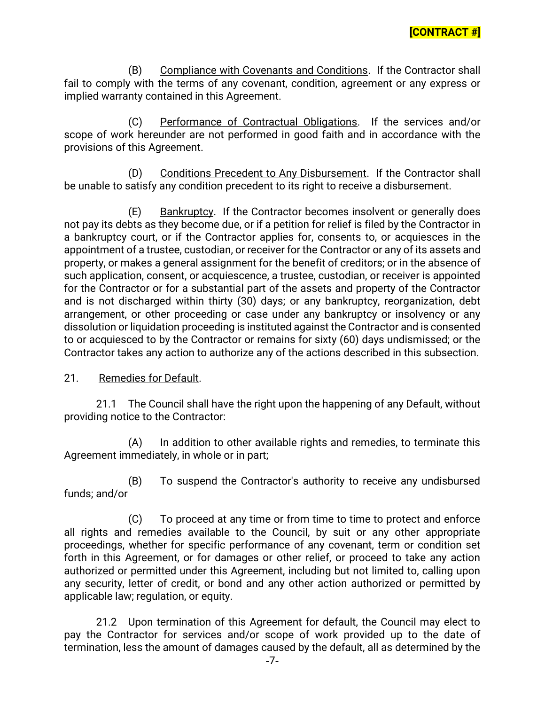(B) Compliance with Covenants and Conditions. If the Contractor shall fail to comply with the terms of any covenant, condition, agreement or any express or implied warranty contained in this Agreement.

(C) Performance of Contractual Obligations. If the services and/or scope of work hereunder are not performed in good faith and in accordance with the provisions of this Agreement.

(D) Conditions Precedent to Any Disbursement. If the Contractor shall be unable to satisfy any condition precedent to its right to receive a disbursement.

(E) Bankruptcy. If the Contractor becomes insolvent or generally does not pay its debts as they become due, or if a petition for relief is filed by the Contractor in a bankruptcy court, or if the Contractor applies for, consents to, or acquiesces in the appointment of a trustee, custodian, or receiver for the Contractor or any of its assets and property, or makes a general assignment for the benefit of creditors; or in the absence of such application, consent, or acquiescence, a trustee, custodian, or receiver is appointed for the Contractor or for a substantial part of the assets and property of the Contractor and is not discharged within thirty (30) days; or any bankruptcy, reorganization, debt arrangement, or other proceeding or case under any bankruptcy or insolvency or any dissolution or liquidation proceeding is instituted against the Contractor and is consented to or acquiesced to by the Contractor or remains for sixty (60) days undismissed; or the Contractor takes any action to authorize any of the actions described in this subsection.

#### 21. Remedies for Default.

21.1 The Council shall have the right upon the happening of any Default, without providing notice to the Contractor:

(A) In addition to other available rights and remedies, to terminate this Agreement immediately, in whole or in part;

(B) To suspend the Contractor's authority to receive any undisbursed funds; and/or

(C) To proceed at any time or from time to time to protect and enforce all rights and remedies available to the Council, by suit or any other appropriate proceedings, whether for specific performance of any covenant, term or condition set forth in this Agreement, or for damages or other relief, or proceed to take any action authorized or permitted under this Agreement, including but not limited to, calling upon any security, letter of credit, or bond and any other action authorized or permitted by applicable law; regulation, or equity.

21.2 Upon termination of this Agreement for default, the Council may elect to pay the Contractor for services and/or scope of work provided up to the date of termination, less the amount of damages caused by the default, all as determined by the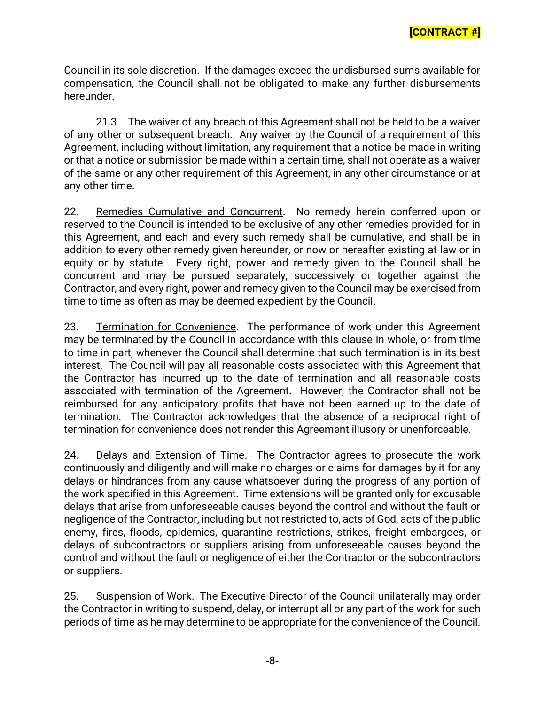Council in its sole discretion. If the damages exceed the undisbursed sums available for compensation, the Council shall not be obligated to make any further disbursements hereunder.

21.3 The waiver of any breach of this Agreement shall not be held to be a waiver of any other or subsequent breach. Any waiver by the Council of a requirement of this Agreement, including without limitation, any requirement that a notice be made in writing or that a notice or submission be made within a certain time, shall not operate as a waiver of the same or any other requirement of this Agreement, in any other circumstance or at any other time.

22. Remedies Cumulative and Concurrent. No remedy herein conferred upon or reserved to the Council is intended to be exclusive of any other remedies provided for in this Agreement, and each and every such remedy shall be cumulative, and shall be in addition to every other remedy given hereunder, or now or hereafter existing at law or in equity or by statute. Every right, power and remedy given to the Council shall be concurrent and may be pursued separately, successively or together against the Contractor, and every right, power and remedy given to the Council may be exercised from time to time as often as may be deemed expedient by the Council.

23. Termination for Convenience. The performance of work under this Agreement may be terminated by the Council in accordance with this clause in whole, or from time to time in part, whenever the Council shall determine that such termination is in its best interest. The Council will pay all reasonable costs associated with this Agreement that the Contractor has incurred up to the date of termination and all reasonable costs associated with termination of the Agreement. However, the Contractor shall not be reimbursed for any anticipatory profits that have not been earned up to the date of termination. The Contractor acknowledges that the absence of a reciprocal right of termination for convenience does not render this Agreement illusory or unenforceable.

24. Delays and Extension of Time. The Contractor agrees to prosecute the work continuously and diligently and will make no charges or claims for damages by it for any delays or hindrances from any cause whatsoever during the progress of any portion of the work specified in this Agreement. Time extensions will be granted only for excusable delays that arise from unforeseeable causes beyond the control and without the fault or negligence of the Contractor, including but not restricted to, acts of God, acts of the public enemy, fires, floods, epidemics, quarantine restrictions, strikes, freight embargoes, or delays of subcontractors or suppliers arising from unforeseeable causes beyond the control and without the fault or negligence of either the Contractor or the subcontractors or suppliers.

25. Suspension of Work. The Executive Director of the Council unilaterally may order the Contractor in writing to suspend, delay, or interrupt all or any part of the work for such periods of time as he may determine to be appropriate for the convenience of the Council.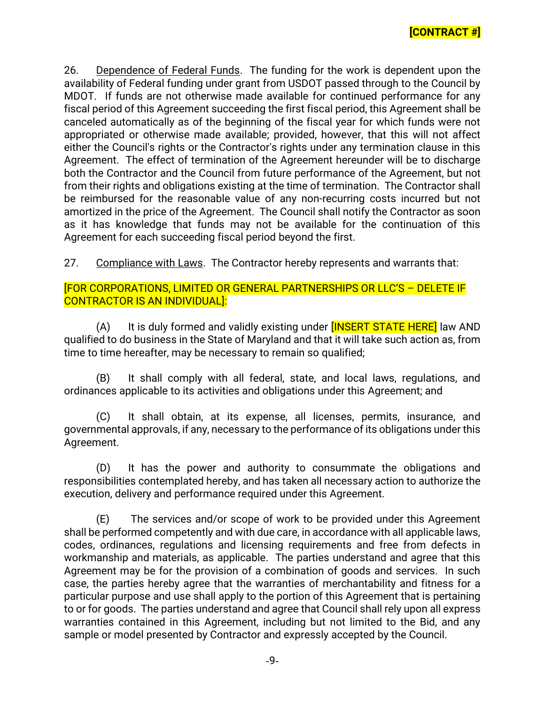26. Dependence of Federal Funds. The funding for the work is dependent upon the availability of Federal funding under grant from USDOT passed through to the Council by MDOT. If funds are not otherwise made available for continued performance for any fiscal period of this Agreement succeeding the first fiscal period, this Agreement shall be canceled automatically as of the beginning of the fiscal year for which funds were not appropriated or otherwise made available; provided, however, that this will not affect either the Council's rights or the Contractor's rights under any termination clause in this Agreement. The effect of termination of the Agreement hereunder will be to discharge both the Contractor and the Council from future performance of the Agreement, but not from their rights and obligations existing at the time of termination. The Contractor shall be reimbursed for the reasonable value of any non-recurring costs incurred but not amortized in the price of the Agreement. The Council shall notify the Contractor as soon as it has knowledge that funds may not be available for the continuation of this Agreement for each succeeding fiscal period beyond the first.

27. Compliance with Laws. The Contractor hereby represents and warrants that:

# [FOR CORPORATIONS, LIMITED OR GENERAL PARTNERSHIPS OR LLC'S – DELETE IF CONTRACTOR IS AN INDIVIDUAL]:

(A) It is duly formed and validly existing under **[INSERT STATE HERE**] law AND qualified to do business in the State of Maryland and that it will take such action as, from time to time hereafter, may be necessary to remain so qualified;

(B) It shall comply with all federal, state, and local laws, regulations, and ordinances applicable to its activities and obligations under this Agreement; and

(C) It shall obtain, at its expense, all licenses, permits, insurance, and governmental approvals, if any, necessary to the performance of its obligations under this Agreement.

(D) It has the power and authority to consummate the obligations and responsibilities contemplated hereby, and has taken all necessary action to authorize the execution, delivery and performance required under this Agreement.

(E) The services and/or scope of work to be provided under this Agreement shall be performed competently and with due care, in accordance with all applicable laws, codes, ordinances, regulations and licensing requirements and free from defects in workmanship and materials, as applicable. The parties understand and agree that this Agreement may be for the provision of a combination of goods and services. In such case, the parties hereby agree that the warranties of merchantability and fitness for a particular purpose and use shall apply to the portion of this Agreement that is pertaining to or for goods. The parties understand and agree that Council shall rely upon all express warranties contained in this Agreement, including but not limited to the Bid, and any sample or model presented by Contractor and expressly accepted by the Council.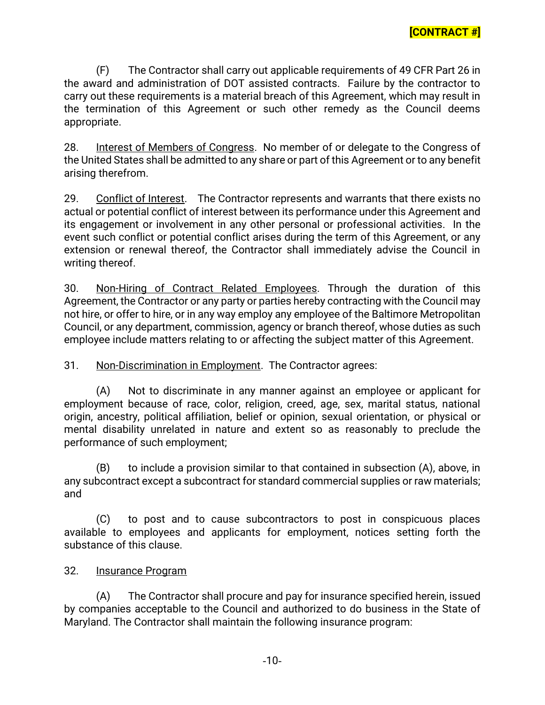(F) The Contractor shall carry out applicable requirements of 49 CFR Part 26 in the award and administration of DOT assisted contracts. Failure by the contractor to carry out these requirements is a material breach of this Agreement, which may result in the termination of this Agreement or such other remedy as the Council deems appropriate.

28. Interest of Members of Congress. No member of or delegate to the Congress of the United States shall be admitted to any share or part of this Agreement or to any benefit arising therefrom.

29. Conflict of Interest. The Contractor represents and warrants that there exists no actual or potential conflict of interest between its performance under this Agreement and its engagement or involvement in any other personal or professional activities. In the event such conflict or potential conflict arises during the term of this Agreement, or any extension or renewal thereof, the Contractor shall immediately advise the Council in writing thereof.

30. Non-Hiring of Contract Related Employees. Through the duration of this Agreement, the Contractor or any party or parties hereby contracting with the Council may not hire, or offer to hire, or in any way employ any employee of the Baltimore Metropolitan Council, or any department, commission, agency or branch thereof, whose duties as such employee include matters relating to or affecting the subject matter of this Agreement.

31. Non-Discrimination in Employment. The Contractor agrees:

(A) Not to discriminate in any manner against an employee or applicant for employment because of race, color, religion, creed, age, sex, marital status, national origin, ancestry, political affiliation, belief or opinion, sexual orientation, or physical or mental disability unrelated in nature and extent so as reasonably to preclude the performance of such employment;

(B) to include a provision similar to that contained in subsection (A), above, in any subcontract except a subcontract for standard commercial supplies or raw materials; and

(C) to post and to cause subcontractors to post in conspicuous places available to employees and applicants for employment, notices setting forth the substance of this clause.

## 32. Insurance Program

(A) The Contractor shall procure and pay for insurance specified herein, issued by companies acceptable to the Council and authorized to do business in the State of Maryland. The Contractor shall maintain the following insurance program: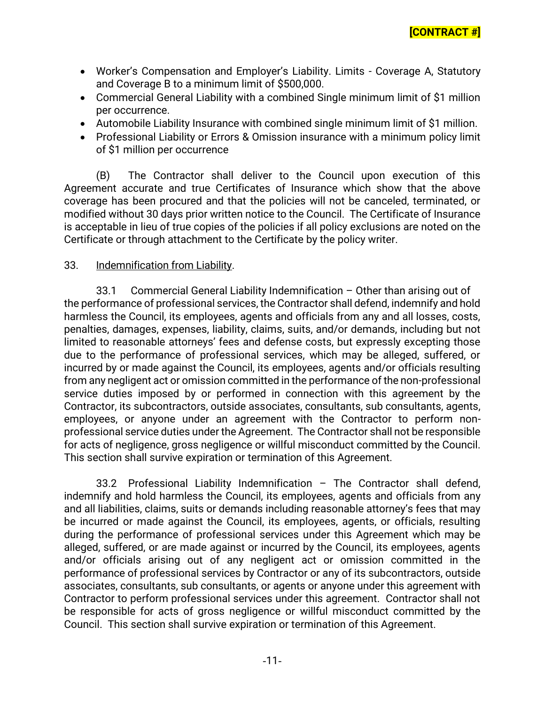- Worker's Compensation and Employer's Liability. Limits Coverage A, Statutory and Coverage B to a minimum limit of \$500,000.
- Commercial General Liability with a combined Single minimum limit of \$1 million per occurrence.
- Automobile Liability Insurance with combined single minimum limit of \$1 million.
- Professional Liability or Errors & Omission insurance with a minimum policy limit of \$1 million per occurrence

(B) The Contractor shall deliver to the Council upon execution of this Agreement accurate and true Certificates of Insurance which show that the above coverage has been procured and that the policies will not be canceled, terminated, or modified without 30 days prior written notice to the Council. The Certificate of Insurance is acceptable in lieu of true copies of the policies if all policy exclusions are noted on the Certificate or through attachment to the Certificate by the policy writer.

## 33. Indemnification from Liability.

33.1 Commercial General Liability Indemnification – Other than arising out of the performance of professional services, the Contractor shall defend, indemnify and hold harmless the Council, its employees, agents and officials from any and all losses, costs, penalties, damages, expenses, liability, claims, suits, and/or demands, including but not limited to reasonable attorneys' fees and defense costs, but expressly excepting those due to the performance of professional services, which may be alleged, suffered, or incurred by or made against the Council, its employees, agents and/or officials resulting from any negligent act or omission committed in the performance of the non-professional service duties imposed by or performed in connection with this agreement by the Contractor, its subcontractors, outside associates, consultants, sub consultants, agents, employees, or anyone under an agreement with the Contractor to perform nonprofessional service duties under the Agreement. The Contractor shall not be responsible for acts of negligence, gross negligence or willful misconduct committed by the Council. This section shall survive expiration or termination of this Agreement.

33.2 Professional Liability Indemnification – The Contractor shall defend, indemnify and hold harmless the Council, its employees, agents and officials from any and all liabilities, claims, suits or demands including reasonable attorney's fees that may be incurred or made against the Council, its employees, agents, or officials, resulting during the performance of professional services under this Agreement which may be alleged, suffered, or are made against or incurred by the Council, its employees, agents and/or officials arising out of any negligent act or omission committed in the performance of professional services by Contractor or any of its subcontractors, outside associates, consultants, sub consultants, or agents or anyone under this agreement with Contractor to perform professional services under this agreement. Contractor shall not be responsible for acts of gross negligence or willful misconduct committed by the Council. This section shall survive expiration or termination of this Agreement.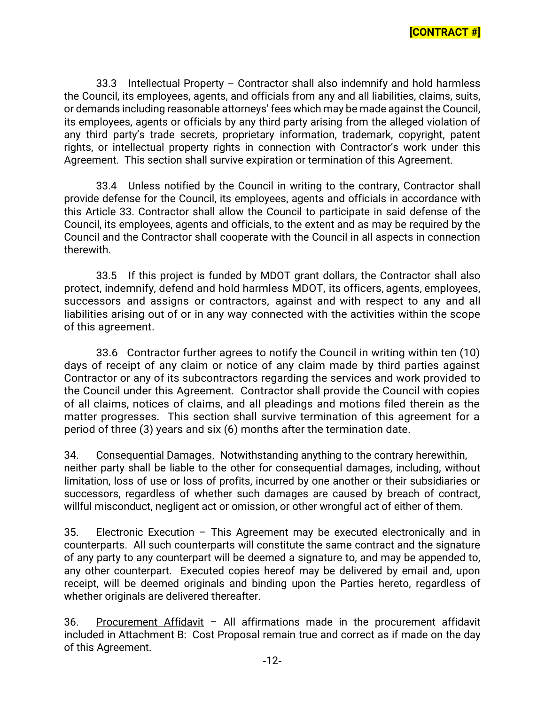33.3 Intellectual Property – Contractor shall also indemnify and hold harmless the Council, its employees, agents, and officials from any and all liabilities, claims, suits, or demands including reasonable attorneys' fees which may be made against the Council, its employees, agents or officials by any third party arising from the alleged violation of any third party's trade secrets, proprietary information, trademark, copyright, patent rights, or intellectual property rights in connection with Contractor's work under this Agreement. This section shall survive expiration or termination of this Agreement.

33.4 Unless notified by the Council in writing to the contrary, Contractor shall provide defense for the Council, its employees, agents and officials in accordance with this Article 33. Contractor shall allow the Council to participate in said defense of the Council, its employees, agents and officials, to the extent and as may be required by the Council and the Contractor shall cooperate with the Council in all aspects in connection therewith.

33.5 If this project is funded by MDOT grant dollars, the Contractor shall also protect, indemnify, defend and hold harmless MDOT, its officers, agents, employees, successors and assigns or contractors, against and with respect to any and all liabilities arising out of or in any way connected with the activities within the scope of this agreement.

33.6 Contractor further agrees to notify the Council in writing within ten (10) days of receipt of any claim or notice of any claim made by third parties against Contractor or any of its subcontractors regarding the services and work provided to the Council under this Agreement. Contractor shall provide the Council with copies of all claims, notices of claims, and all pleadings and motions filed therein as the matter progresses. This section shall survive termination of this agreement for a period of three (3) years and six (6) months after the termination date.

34. Consequential Damages. Notwithstanding anything to the contrary herewithin, neither party shall be liable to the other for consequential damages, including, without limitation, loss of use or loss of profits, incurred by one another or their subsidiaries or successors, regardless of whether such damages are caused by breach of contract, willful misconduct, negligent act or omission, or other wrongful act of either of them.

35. Electronic Execution – This Agreement may be executed electronically and in counterparts. All such counterparts will constitute the same contract and the signature of any party to any counterpart will be deemed a signature to, and may be appended to, any other counterpart. Executed copies hereof may be delivered by email and, upon receipt, will be deemed originals and binding upon the Parties hereto, regardless of whether originals are delivered thereafter.

36. Procurement Affidavit - All affirmations made in the procurement affidavit included in Attachment B: Cost Proposal remain true and correct as if made on the day of this Agreement.